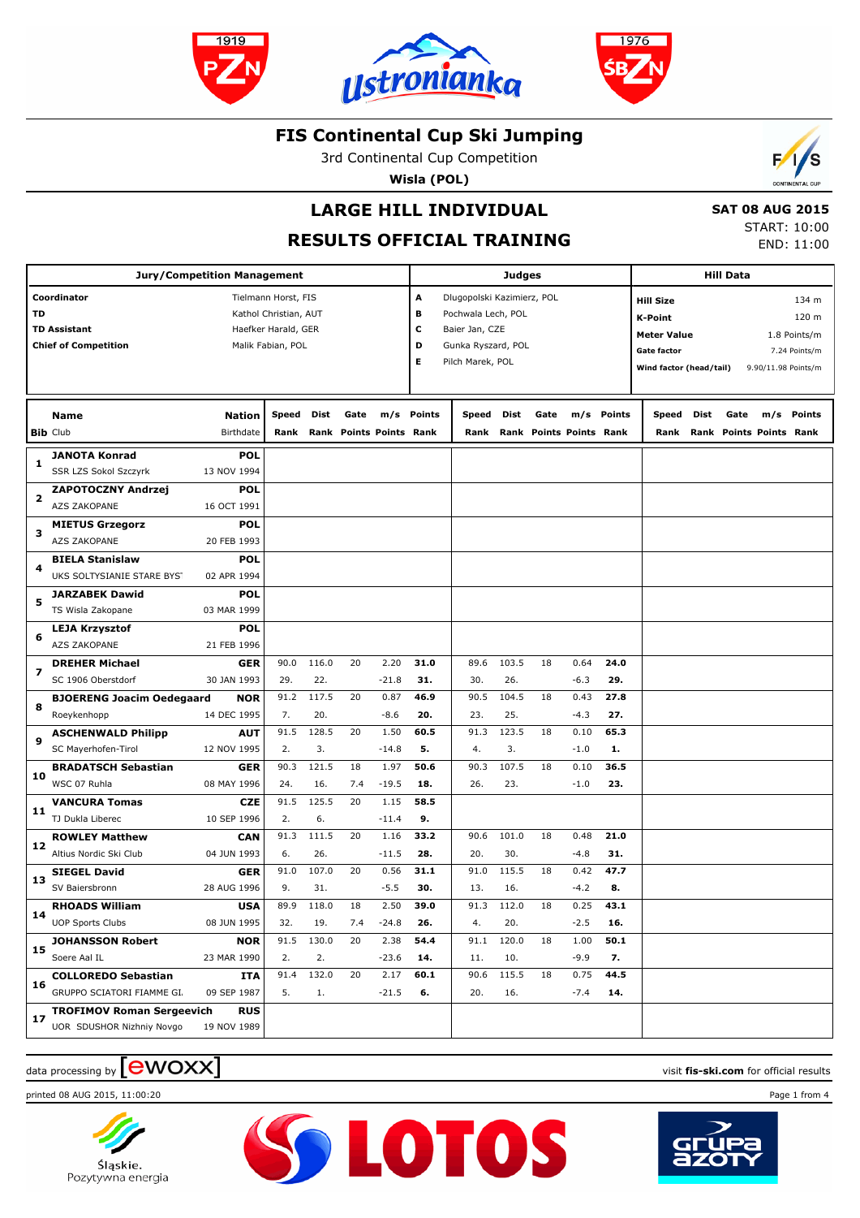





3rd Continental Cup Competition

**Wisla (POL)**



# **LARGE HILL INDIVIDUAL**

 **SAT 08 AUG 2015** START: 10:00

END: 11:00

**RESULTS OFFICIAL TRAINING**

| <b>Jury/Competition Management</b> |                                  |               |                       |             |      |                         |        | <b>Judges</b>              |       |      |                         |        |                         | <b>Hill Data</b> |      |                         |               |  |
|------------------------------------|----------------------------------|---------------|-----------------------|-------------|------|-------------------------|--------|----------------------------|-------|------|-------------------------|--------|-------------------------|------------------|------|-------------------------|---------------|--|
|                                    |                                  |               |                       |             |      |                         |        |                            |       |      |                         |        |                         |                  |      |                         |               |  |
| Coordinator                        |                                  |               | Tielmann Horst, FIS   |             |      |                         | A      | Dlugopolski Kazimierz, POL |       |      |                         |        | <b>Hill Size</b>        |                  |      |                         | 134 m         |  |
| TD                                 |                                  |               | Kathol Christian, AUT |             |      |                         | в      | Pochwala Lech, POL         |       |      |                         |        | <b>K-Point</b>          |                  |      |                         | 120 m         |  |
|                                    | <b>TD Assistant</b>              |               | Haefker Harald, GER   |             |      |                         | c      | Baier Jan, CZE             |       |      |                         |        | <b>Meter Value</b>      |                  |      |                         | 1.8 Points/m  |  |
|                                    | <b>Chief of Competition</b>      |               | Malik Fabian, POL     |             |      |                         | D      | Gunka Ryszard, POL         |       |      |                         |        | <b>Gate factor</b>      |                  |      |                         | 7.24 Points/m |  |
|                                    |                                  |               |                       |             |      |                         | Е      | Pilch Marek, POL           |       |      |                         |        | Wind factor (head/tail) |                  |      | 9.90/11.98 Points/m     |               |  |
|                                    |                                  |               |                       |             |      |                         |        |                            |       |      |                         |        |                         |                  |      |                         |               |  |
|                                    |                                  |               |                       |             |      |                         |        |                            |       |      |                         |        |                         |                  |      |                         |               |  |
|                                    | <b>Name</b>                      | <b>Nation</b> | Speed                 | <b>Dist</b> | Gate | m/s                     | Points | Speed                      | Dist  | Gate | m/s                     | Points | Speed                   | Dist             | Gate | m/s                     | Points        |  |
|                                    | <b>Bib Club</b>                  | Birthdate     | Rank                  |             |      | Rank Points Points Rank |        | Rank                       |       |      | Rank Points Points Rank |        | Rank                    |                  |      | Rank Points Points Rank |               |  |
| 1                                  | <b>JANOTA Konrad</b>             | <b>POL</b>    |                       |             |      |                         |        |                            |       |      |                         |        |                         |                  |      |                         |               |  |
|                                    | SSR LZS Sokol Szczyrk            | 13 NOV 1994   |                       |             |      |                         |        |                            |       |      |                         |        |                         |                  |      |                         |               |  |
| 2                                  | <b>ZAPOTOCZNY Andrzej</b>        | <b>POL</b>    |                       |             |      |                         |        |                            |       |      |                         |        |                         |                  |      |                         |               |  |
|                                    | AZS ZAKOPANE                     | 16 OCT 1991   |                       |             |      |                         |        |                            |       |      |                         |        |                         |                  |      |                         |               |  |
| з                                  | <b>MIETUS Grzegorz</b>           | <b>POL</b>    |                       |             |      |                         |        |                            |       |      |                         |        |                         |                  |      |                         |               |  |
|                                    | AZS ZAKOPANE                     | 20 FEB 1993   |                       |             |      |                         |        |                            |       |      |                         |        |                         |                  |      |                         |               |  |
| 4                                  | <b>BIELA Stanislaw</b>           | <b>POL</b>    |                       |             |      |                         |        |                            |       |      |                         |        |                         |                  |      |                         |               |  |
|                                    | UKS SOLTYSIANIE STARE BYST       | 02 APR 1994   |                       |             |      |                         |        |                            |       |      |                         |        |                         |                  |      |                         |               |  |
| 5                                  | <b>JARZABEK Dawid</b>            | <b>POL</b>    |                       |             |      |                         |        |                            |       |      |                         |        |                         |                  |      |                         |               |  |
|                                    | TS Wisla Zakopane                | 03 MAR 1999   |                       |             |      |                         |        |                            |       |      |                         |        |                         |                  |      |                         |               |  |
| 6                                  | <b>LEJA Krzysztof</b>            | <b>POL</b>    |                       |             |      |                         |        |                            |       |      |                         |        |                         |                  |      |                         |               |  |
|                                    | <b>AZS ZAKOPANE</b>              | 21 FEB 1996   |                       |             |      |                         |        |                            |       |      |                         |        |                         |                  |      |                         |               |  |
|                                    | <b>DREHER Michael</b>            | GER           | 90.0                  | 116.0       | 20   | 2.20                    | 31.0   | 89.6                       | 103.5 | 18   | 0.64                    | 24.0   |                         |                  |      |                         |               |  |
| 7                                  | SC 1906 Oberstdorf               | 30 JAN 1993   | 29.                   | 22.         |      | $-21.8$                 | 31.    | 30.                        | 26.   |      | $-6.3$                  | 29.    |                         |                  |      |                         |               |  |
|                                    | <b>BJOERENG Joacim Oedegaard</b> | <b>NOR</b>    | 91.2                  | 117.5       | 20   | 0.87                    | 46.9   | 90.5                       | 104.5 | 18   | 0.43                    | 27.8   |                         |                  |      |                         |               |  |
| 8                                  | Roeykenhopp                      | 14 DEC 1995   | 7.                    | 20.         |      | $-8.6$                  | 20.    | 23.                        | 25.   |      | $-4.3$                  | 27.    |                         |                  |      |                         |               |  |
|                                    | <b>ASCHENWALD Philipp</b>        | <b>AUT</b>    | 91.5                  | 128.5       | 20   | 1.50                    | 60.5   | 91.3                       | 123.5 | 18   | 0.10                    | 65.3   |                         |                  |      |                         |               |  |
| 9                                  | SC Mayerhofen-Tirol              | 12 NOV 1995   | 2.                    | 3.          |      | $-14.8$                 | 5.     | 4.                         | 3.    |      | $-1.0$                  | 1.     |                         |                  |      |                         |               |  |
|                                    | <b>BRADATSCH Sebastian</b>       | <b>GER</b>    | 90.3                  | 121.5       | 18   | 1.97                    | 50.6   | 90.3                       | 107.5 | 18   | 0.10                    | 36.5   |                         |                  |      |                         |               |  |
| 10                                 | WSC 07 Ruhla                     | 08 MAY 1996   | 24.                   | 16.         | 7.4  | $-19.5$                 | 18.    | 26.                        | 23.   |      | $-1.0$                  | 23.    |                         |                  |      |                         |               |  |
|                                    | <b>VANCURA Tomas</b>             | <b>CZE</b>    | 91.5                  | 125.5       | 20   | 1.15                    | 58.5   |                            |       |      |                         |        |                         |                  |      |                         |               |  |
| 11                                 | TJ Dukla Liberec                 | 10 SEP 1996   | 2.                    | 6.          |      | $-11.4$                 | 9.     |                            |       |      |                         |        |                         |                  |      |                         |               |  |
|                                    | <b>ROWLEY Matthew</b>            | CAN           | 91.3                  | 111.5       | 20   | 1.16                    | 33.2   | 90.6                       | 101.0 | 18   | 0.48                    | 21.0   |                         |                  |      |                         |               |  |
| 12                                 | Altius Nordic Ski Club           | 04 JUN 1993   | 6.                    | 26.         |      | $-11.5$                 | 28.    | 20.                        | 30.   |      | -4.8                    | 31.    |                         |                  |      |                         |               |  |
|                                    | <b>SIEGEL David</b>              | GER           | 91.0                  | 107.0       | 20   | 0.56                    | 31.1   | 91.0                       | 115.5 | 18   | 0.42                    | 47.7   |                         |                  |      |                         |               |  |
| 13                                 | SV Baiersbronn                   | 28 AUG 1996   | 9.                    | 31.         |      | $-5.5$                  | 30.    | 13.                        | 16.   |      | $-4.2$                  | 8.     |                         |                  |      |                         |               |  |
|                                    | <b>RHOADS William</b>            | <b>USA</b>    | 89.9                  | 118.0       | 18   | 2.50                    | 39.0   | 91.3                       | 112.0 | 18   | 0.25                    | 43.1   |                         |                  |      |                         |               |  |
| 14                                 | <b>UOP Sports Clubs</b>          | 08 JUN 1995   | 32.                   | 19.         | 7.4  | $-24.8$                 | 26.    | 4.                         | 20.   |      | $-2.5$                  | 16.    |                         |                  |      |                         |               |  |
|                                    | <b>JOHANSSON Robert</b>          | <b>NOR</b>    | 91.5                  | 130.0       | 20   | 2.38                    | 54.4   | 91.1                       | 120.0 | 18   | 1.00                    | 50.1   |                         |                  |      |                         |               |  |
| 15                                 | Soere Aal IL                     | 23 MAR 1990   | 2.                    | 2.          |      | $-23.6$                 | 14.    | 11.                        | 10.   |      | $-9.9$                  | 7.     |                         |                  |      |                         |               |  |
| 16                                 | <b>COLLOREDO Sebastian</b>       | ITA           | 91.4                  | 132.0       | 20   | 2.17                    | 60.1   | 90.6                       | 115.5 | 18   | 0.75                    | 44.5   |                         |                  |      |                         |               |  |
|                                    | GRUPPO SCIATORI FIAMME GI.       | 09 SEP 1987   | 5.                    | 1.          |      | $-21.5$                 | 6.     | 20.                        | 16.   |      | $-7.4$                  | 14.    |                         |                  |      |                         |               |  |
|                                    | <b>TROFIMOV Roman Sergeevich</b> | <b>RUS</b>    |                       |             |      |                         |        |                            |       |      |                         |        |                         |                  |      |                         |               |  |
| 17                                 | <b>UOR SDUSHOR Nizhniy Novgo</b> | 19 NOV 1989   |                       |             |      |                         |        |                            |       |      |                         |        |                         |                  |      |                         |               |  |
|                                    |                                  |               |                       |             |      |                         |        |                            |       |      |                         |        |                         |                  |      |                         |               |  |

**SS LOTOS** 

# data processing by **CWOXX** and  $\blacksquare$  and  $\blacksquare$  and  $\blacksquare$  and  $\blacksquare$  and  $\blacksquare$  and  $\blacksquare$  and  $\blacksquare$  and  $\blacksquare$  and  $\blacksquare$  and  $\blacksquare$  and  $\blacksquare$  and  $\blacksquare$  and  $\blacksquare$  and  $\blacksquare$  and  $\blacksquare$  and  $\blacksquare$  and  $\blacksquare$  and  $\blacks$

printed 08 AUG 2015, 11:00:20 Page 1 from 4





Pozytywna energia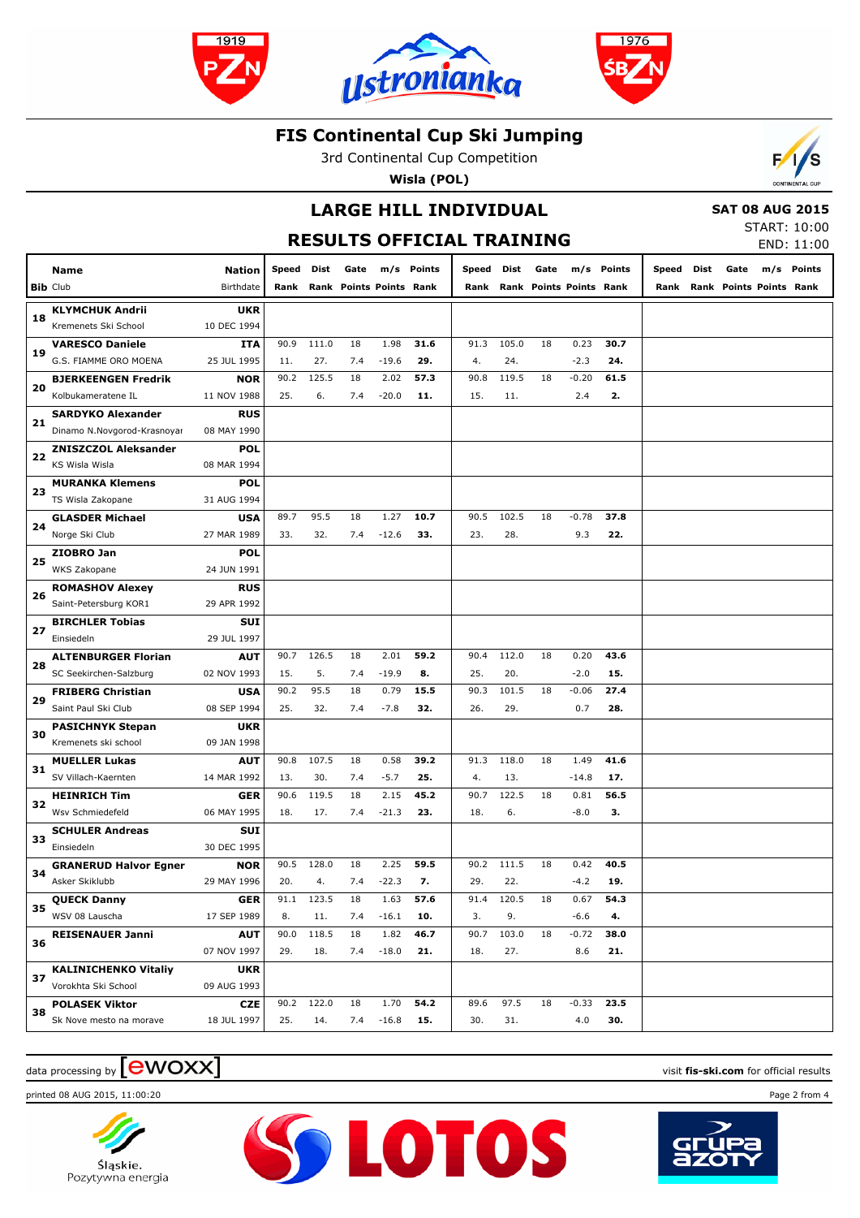





3rd Continental Cup Competition

**Wisla (POL)**



### **LARGE HILL INDIVIDUAL**

 **SAT 08 AUG 2015** START: 10:00

| <b>RESULTS OFFICIAL TRAINING</b> |                                      |                    |       |       |                         |         |            |            |       |      |                              |            |       |      | START: 10:00<br>END: 11:00   |     |        |
|----------------------------------|--------------------------------------|--------------------|-------|-------|-------------------------|---------|------------|------------|-------|------|------------------------------|------------|-------|------|------------------------------|-----|--------|
|                                  | Name                                 | <b>Nation</b>      | Speed | Dist  | Gate                    |         | m/s Points | Speed Dist |       | Gate |                              | m/s Points | Speed | Dist | Gate                         | m/s | Points |
|                                  | <b>Bib Club</b>                      | Birthdate          | Rank  |       | Rank Points Points Rank |         |            |            |       |      | Rank Rank Points Points Rank |            |       |      | Rank Rank Points Points Rank |     |        |
|                                  | <b>KLYMCHUK Andrii</b>               | <b>UKR</b>         |       |       |                         |         |            |            |       |      |                              |            |       |      |                              |     |        |
| 18                               | Kremenets Ski School                 | 10 DEC 1994        |       |       |                         |         |            |            |       |      |                              |            |       |      |                              |     |        |
| 19                               | <b>VARESCO Daniele</b>               | <b>ITA</b>         | 90.9  | 111.0 | 18                      | 1.98    | 31.6       | 91.3       | 105.0 | 18   | 0.23                         | 30.7       |       |      |                              |     |        |
|                                  | G.S. FIAMME ORO MOENA                | 25 JUL 1995        | 11.   | 27.   | 7.4                     | $-19.6$ | 29.        | 4.         | 24.   |      | $-2.3$                       | 24.        |       |      |                              |     |        |
| 20                               | <b>BJERKEENGEN Fredrik</b>           | <b>NOR</b>         | 90.2  | 125.5 | 18                      | 2.02    | 57.3       | 90.8       | 119.5 | 18   | $-0.20$                      | 61.5       |       |      |                              |     |        |
|                                  | Kolbukameratene IL                   | 11 NOV 1988        | 25.   | 6.    | 7.4                     | $-20.0$ | 11.        | 15.        | 11.   |      | 2.4                          | 2.         |       |      |                              |     |        |
| 21                               | <b>SARDYKO Alexander</b>             | <b>RUS</b>         |       |       |                         |         |            |            |       |      |                              |            |       |      |                              |     |        |
|                                  | Dinamo N.Novgorod-Krasnoyar          | 08 MAY 1990        |       |       |                         |         |            |            |       |      |                              |            |       |      |                              |     |        |
| 22                               | <b>ZNISZCZOL Aleksander</b>          | POL                |       |       |                         |         |            |            |       |      |                              |            |       |      |                              |     |        |
|                                  | KS Wisla Wisla                       | 08 MAR 1994        |       |       |                         |         |            |            |       |      |                              |            |       |      |                              |     |        |
| 23                               | <b>MURANKA Klemens</b>               | <b>POL</b>         |       |       |                         |         |            |            |       |      |                              |            |       |      |                              |     |        |
|                                  | TS Wisla Zakopane                    | 31 AUG 1994        |       |       |                         |         |            |            |       |      |                              |            |       |      |                              |     |        |
| 24                               | <b>GLASDER Michael</b>               | <b>USA</b>         | 89.7  | 95.5  | 18                      | 1.27    | 10.7       | 90.5       | 102.5 | 18   | $-0.78$                      | 37.8       |       |      |                              |     |        |
|                                  | Norge Ski Club                       | 27 MAR 1989        | 33.   | 32.   | 7.4                     | $-12.6$ | 33.        | 23.        | 28.   |      | 9.3                          | 22.        |       |      |                              |     |        |
| 25                               | ZIOBRO Jan                           | POL                |       |       |                         |         |            |            |       |      |                              |            |       |      |                              |     |        |
|                                  | <b>WKS Zakopane</b>                  | 24 JUN 1991        |       |       |                         |         |            |            |       |      |                              |            |       |      |                              |     |        |
| 26                               | <b>ROMASHOV Alexey</b>               | <b>RUS</b>         |       |       |                         |         |            |            |       |      |                              |            |       |      |                              |     |        |
|                                  | Saint-Petersburg KOR1                | 29 APR 1992<br>SUI |       |       |                         |         |            |            |       |      |                              |            |       |      |                              |     |        |
| 27                               | <b>BIRCHLER Tobias</b><br>Einsiedeln | 29 JUL 1997        |       |       |                         |         |            |            |       |      |                              |            |       |      |                              |     |        |
|                                  | <b>ALTENBURGER Florian</b>           | <b>AUT</b>         | 90.7  | 126.5 | 18                      | 2.01    | 59.2       | 90.4       | 112.0 | 18   | 0.20                         | 43.6       |       |      |                              |     |        |
| 28                               | SC Seekirchen-Salzburg               | 02 NOV 1993        | 15.   | 5.    | 7.4                     | $-19.9$ | 8.         | 25.        | 20.   |      | $-2.0$                       | 15.        |       |      |                              |     |        |
|                                  | <b>FRIBERG Christian</b>             | <b>USA</b>         | 90.2  | 95.5  | 18                      | 0.79    | 15.5       | 90.3       | 101.5 | 18   | $-0.06$                      | 27.4       |       |      |                              |     |        |
| 29                               | Saint Paul Ski Club                  | 08 SEP 1994        | 25.   | 32.   | 7.4                     | $-7.8$  | 32.        | 26.        | 29.   |      | 0.7                          | 28.        |       |      |                              |     |        |
|                                  | <b>PASICHNYK Stepan</b>              | <b>UKR</b>         |       |       |                         |         |            |            |       |      |                              |            |       |      |                              |     |        |
| 30                               | Kremenets ski school                 | 09 JAN 1998        |       |       |                         |         |            |            |       |      |                              |            |       |      |                              |     |        |
|                                  | <b>MUELLER Lukas</b>                 | <b>AUT</b>         | 90.8  | 107.5 | 18                      | 0.58    | 39.2       | 91.3       | 118.0 | 18   | 1.49                         | 41.6       |       |      |                              |     |        |
| 31                               | SV Villach-Kaernten                  | 14 MAR 1992        | 13.   | 30.   | 7.4                     | $-5.7$  | 25.        | 4.         | 13.   |      | $-14.8$                      | 17.        |       |      |                              |     |        |
|                                  | <b>HEINRICH Tim</b>                  | <b>GER</b>         | 90.6  | 119.5 | 18                      | 2.15    | 45.2       | 90.7       | 122.5 | 18   | 0.81                         | 56.5       |       |      |                              |     |        |
| 32                               | Wsv Schmiedefeld                     | 06 MAY 1995        | 18.   | 17.   | 7.4                     | $-21.3$ | 23.        | 18.        | 6.    |      | $-8.0$                       | з.         |       |      |                              |     |        |
|                                  | <b>SCHULER Andreas</b>               | <b>SUI</b>         |       |       |                         |         |            |            |       |      |                              |            |       |      |                              |     |        |
| 33                               | Einsiedeln                           | 30 DEC 1995        |       |       |                         |         |            |            |       |      |                              |            |       |      |                              |     |        |
|                                  | <b>GRANERUD Halvor Egner</b>         | <b>NOR</b>         | 90.5  | 128.0 | 18                      | 2.25    | 59.5       | 90.2       | 111.5 | 18   | 0.42                         | 40.5       |       |      |                              |     |        |
| 34                               | Asker Skiklubb                       | 29 MAY 1996        | 20.   | 4.    | 7.4                     | $-22.3$ | 7.         | 29.        | 22.   |      | $-4.2$                       | 19.        |       |      |                              |     |        |
| 35                               | <b>QUECK Danny</b>                   | <b>GER</b>         | 91.1  | 123.5 | 18                      | 1.63    | 57.6       | 91.4       | 120.5 | 18   | 0.67                         | 54.3       |       |      |                              |     |        |
|                                  | WSV 08 Lauscha                       | 17 SEP 1989        | 8.    | 11.   | 7.4                     | $-16.1$ | 10.        | 3.         | 9.    |      | $-6.6$                       | 4.         |       |      |                              |     |        |
| 36                               | <b>REISENAUER Janni</b>              | <b>AUT</b>         | 90.0  | 118.5 | 18                      | 1.82    | 46.7       | 90.7       | 103.0 | 18   | $-0.72$                      | 38.0       |       |      |                              |     |        |
|                                  |                                      | 07 NOV 1997        | 29.   | 18.   | 7.4                     | $-18.0$ | 21.        | 18.        | 27.   |      | 8.6                          | 21.        |       |      |                              |     |        |
| 37                               | <b>KALINICHENKO Vitaliy</b>          | <b>UKR</b>         |       |       |                         |         |            |            |       |      |                              |            |       |      |                              |     |        |
|                                  | Vorokhta Ski School                  | 09 AUG 1993        |       |       |                         |         |            |            |       |      |                              |            |       |      |                              |     |        |
| 38                               | <b>POLASEK Viktor</b>                | <b>CZE</b>         | 90.2  | 122.0 | 18                      | 1.70    | 54.2       | 89.6       | 97.5  | 18   | $-0.33$                      | 23.5       |       |      |                              |     |        |
|                                  | Sk Nove mesto na morave              | 18 JUL 1997        | 25.   | 14.   | 7.4                     | $-16.8$ | 15.        | 30.        | 31.   |      | 4.0                          | 30.        |       |      |                              |     |        |

**SSLOTOS** 

### $\alpha$  data processing by  $\boxed{\text{ewOX}}$

printed 08 AUG 2015, 11:00:20 Page 2 from 4



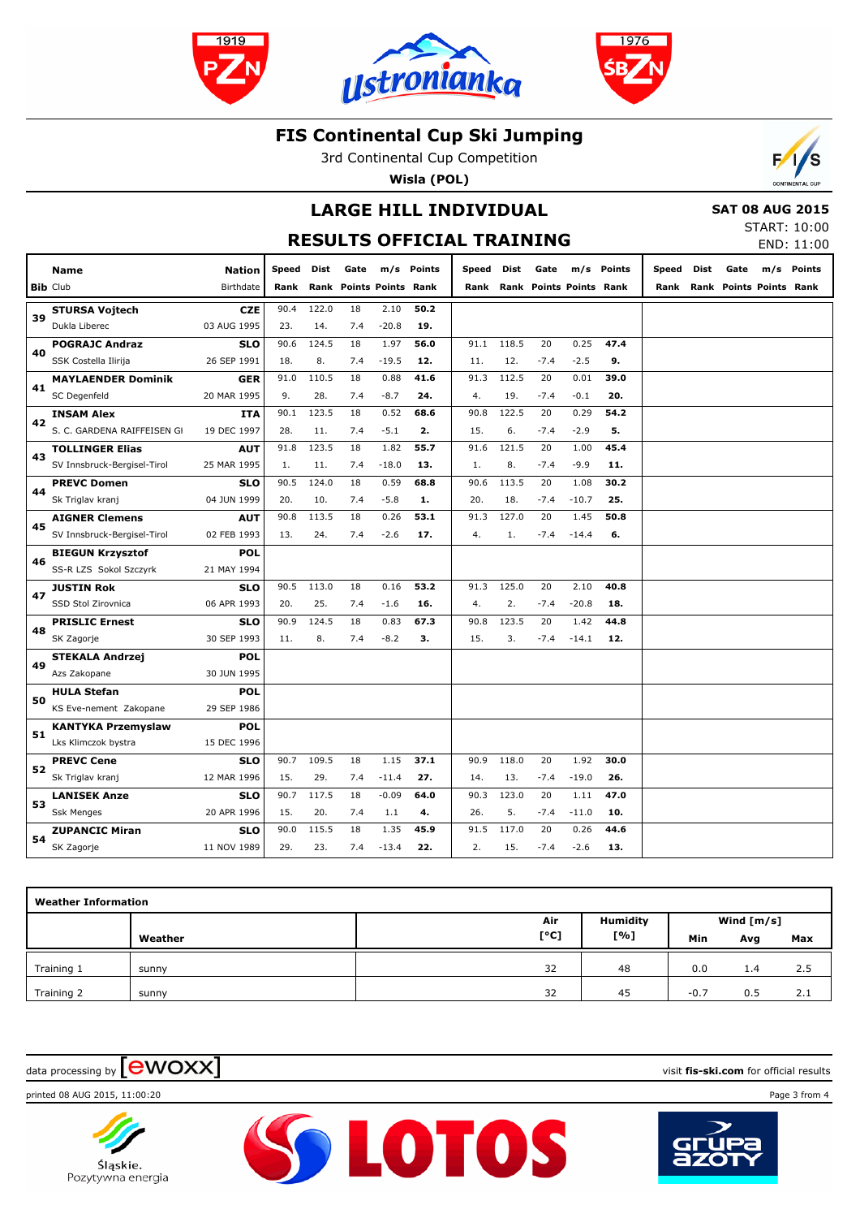





3rd Continental Cup Competition

**Wisla (POL)**



## **LARGE HILL INDIVIDUAL**

 **SAT 08 AUG 2015**

| <b>RESULTS OFFICIAL TRAINING</b> |  |  |
|----------------------------------|--|--|
|                                  |  |  |

| START: 10:00 |            |
|--------------|------------|
|              | END: 11:00 |

|    | <b>Name</b>                 | <b>Nation</b> | <b>Speed</b> | Dist  | Gate                           |         | m/s Points | Speed | Dist  | Gate   |                                | m/s Points | Speed | Dist | Gate                           | m/s Points |
|----|-----------------------------|---------------|--------------|-------|--------------------------------|---------|------------|-------|-------|--------|--------------------------------|------------|-------|------|--------------------------------|------------|
|    | <b>Bib Club</b>             | Birthdate     | Rank         |       | <b>Rank Points Points Rank</b> |         |            | Rank  |       |        | <b>Rank Points Points Rank</b> |            | Rank  |      | <b>Rank Points Points Rank</b> |            |
|    | <b>STURSA Vojtech</b>       | <b>CZE</b>    | 90.4         | 122.0 | 18                             | 2.10    | 50.2       |       |       |        |                                |            |       |      |                                |            |
| 39 | Dukla Liberec               | 03 AUG 1995   | 23.          | 14.   | 7.4                            | $-20.8$ | 19.        |       |       |        |                                |            |       |      |                                |            |
|    | <b>POGRAJC Andraz</b>       | <b>SLO</b>    | 90.6         | 124.5 | 18                             | 1.97    | 56.0       | 91.1  | 118.5 | 20     | 0.25                           | 47.4       |       |      |                                |            |
| 40 | SSK Costella Ilirija        | 26 SEP 1991   | 18.          | 8.    | 7.4                            | $-19.5$ | 12.        | 11.   | 12.   | $-7.4$ | $-2.5$                         | 9.         |       |      |                                |            |
| 41 | <b>MAYLAENDER Dominik</b>   | <b>GER</b>    | 91.0         | 110.5 | 18                             | 0.88    | 41.6       | 91.3  | 112.5 | 20     | 0.01                           | 39.0       |       |      |                                |            |
|    | SC Degenfeld                | 20 MAR 1995   | 9.           | 28.   | 7.4                            | $-8.7$  | 24.        | 4.    | 19.   | $-7.4$ | $-0.1$                         | 20.        |       |      |                                |            |
|    | <b>INSAM Alex</b>           | <b>ITA</b>    | 90.1         | 123.5 | 18                             | 0.52    | 68.6       | 90.8  | 122.5 | 20     | 0.29                           | 54.2       |       |      |                                |            |
| 42 | S. C. GARDENA RAIFFEISEN GI | 19 DEC 1997   | 28.          | 11.   | 7.4                            | $-5.1$  | 2.         | 15.   | 6.    | $-7.4$ | $-2.9$                         | 5.         |       |      |                                |            |
|    | <b>TOLLINGER Elias</b>      | <b>AUT</b>    | 91.8         | 123.5 | 18                             | 1.82    | 55.7       | 91.6  | 121.5 | 20     | 1.00                           | 45.4       |       |      |                                |            |
| 43 | SV Innsbruck-Bergisel-Tirol | 25 MAR 1995   | 1.           | 11.   | 7.4                            | $-18.0$ | 13.        | 1.    | 8.    | $-7.4$ | $-9.9$                         | 11.        |       |      |                                |            |
|    | <b>PREVC Domen</b>          | <b>SLO</b>    | 90.5         | 124.0 | 18                             | 0.59    | 68.8       | 90.6  | 113.5 | 20     | 1.08                           | 30.2       |       |      |                                |            |
| 44 | Sk Triglav kranj            | 04 JUN 1999   | 20.          | 10.   | 7.4                            | $-5.8$  | 1.         | 20.   | 18.   | $-7.4$ | $-10.7$                        | 25.        |       |      |                                |            |
|    | <b>AIGNER Clemens</b>       | <b>AUT</b>    | 90.8         | 113.5 | 18                             | 0.26    | 53.1       | 91.3  | 127.0 | 20     | 1.45                           | 50.8       |       |      |                                |            |
| 45 | SV Innsbruck-Bergisel-Tirol | 02 FEB 1993   | 13.          | 24.   | 7.4                            | $-2.6$  | 17.        | 4.    | 1.    | $-7.4$ | $-14.4$                        | 6.         |       |      |                                |            |
|    | <b>BIEGUN Krzysztof</b>     | <b>POL</b>    |              |       |                                |         |            |       |       |        |                                |            |       |      |                                |            |
| 46 | SS-R LZS Sokol Szczyrk      | 21 MAY 1994   |              |       |                                |         |            |       |       |        |                                |            |       |      |                                |            |
| 47 | <b>JUSTIN Rok</b>           | <b>SLO</b>    | 90.5         | 113.0 | 18                             | 0.16    | 53.2       | 91.3  | 125.0 | 20     | 2.10                           | 40.8       |       |      |                                |            |
|    | SSD Stol Zirovnica          | 06 APR 1993   | 20.          | 25.   | 7.4                            | $-1.6$  | 16.        | 4.    | 2.    | $-7.4$ | $-20.8$                        | 18.        |       |      |                                |            |
| 48 | <b>PRISLIC Ernest</b>       | <b>SLO</b>    | 90.9         | 124.5 | 18                             | 0.83    | 67.3       | 90.8  | 123.5 | 20     | 1.42                           | 44.8       |       |      |                                |            |
|    | SK Zagorje                  | 30 SEP 1993   | 11.          | 8.    | 7.4                            | $-8.2$  | з.         | 15.   | 3.    | $-7.4$ | $-14.1$                        | 12.        |       |      |                                |            |
| 49 | <b>STEKALA Andrzej</b>      | <b>POL</b>    |              |       |                                |         |            |       |       |        |                                |            |       |      |                                |            |
|    | Azs Zakopane                | 30 JUN 1995   |              |       |                                |         |            |       |       |        |                                |            |       |      |                                |            |
| 50 | <b>HULA Stefan</b>          | <b>POL</b>    |              |       |                                |         |            |       |       |        |                                |            |       |      |                                |            |
|    | KS Eve-nement Zakopane      | 29 SEP 1986   |              |       |                                |         |            |       |       |        |                                |            |       |      |                                |            |
| 51 | <b>KANTYKA Przemyslaw</b>   | <b>POL</b>    |              |       |                                |         |            |       |       |        |                                |            |       |      |                                |            |
|    | Lks Klimczok bystra         | 15 DEC 1996   |              |       |                                |         |            |       |       |        |                                |            |       |      |                                |            |
| 52 | <b>PREVC Cene</b>           | <b>SLO</b>    | 90.7         | 109.5 | 18                             | 1.15    | 37.1       | 90.9  | 118.0 | 20     | 1.92                           | 30.0       |       |      |                                |            |
|    | Sk Triglav kranj            | 12 MAR 1996   | 15.          | 29.   | 7.4                            | $-11.4$ | 27.        | 14.   | 13.   | $-7.4$ | $-19.0$                        | 26.        |       |      |                                |            |
| 53 | <b>LANISEK Anze</b>         | <b>SLO</b>    | 90.7         | 117.5 | 18                             | $-0.09$ | 64.0       | 90.3  | 123.0 | 20     | 1.11                           | 47.0       |       |      |                                |            |
|    | <b>Ssk Menges</b>           | 20 APR 1996   | 15.          | 20.   | 7.4                            | 1.1     | 4.         | 26.   | 5.    | $-7.4$ | $-11.0$                        | 10.        |       |      |                                |            |
| 54 | <b>ZUPANCIC Miran</b>       | <b>SLO</b>    | 90.0         | 115.5 | 18                             | 1.35    | 45.9       | 91.5  | 117.0 | 20     | 0.26                           | 44.6       |       |      |                                |            |
|    | SK Zagorje                  | 11 NOV 1989   | 29.          | 23.   | 7.4                            | $-13.4$ | 22.        | 2.    | 15.   | $-7.4$ | $-2.6$                         | 13.        |       |      |                                |            |

| <b>Weather Information</b> |         |      |                 |            |     |     |  |  |  |  |  |
|----------------------------|---------|------|-----------------|------------|-----|-----|--|--|--|--|--|
|                            |         | Air  | <b>Humidity</b> | Wind [m/s] |     |     |  |  |  |  |  |
|                            | Weather | [°C] | [%]             | Min        | Avg | Max |  |  |  |  |  |
| Training 1                 | sunny   | 32   | 48              | 0.0        | 1.4 | 2.5 |  |  |  |  |  |
| Training 2                 | sunny   | 32   | 45              | $-0.7$     | 0.5 | 2.1 |  |  |  |  |  |

**SSLOTOS** 

## data processing by **CWOXX** and  $\overline{C}$  and  $\overline{C}$  and  $\overline{C}$  and  $\overline{C}$  and  $\overline{C}$  and  $\overline{C}$  and  $\overline{C}$  and  $\overline{C}$  and  $\overline{C}$  and  $\overline{C}$  and  $\overline{C}$  and  $\overline{C}$  and  $\overline{C}$  and  $\overline{C}$  and  $\overline{C}$

printed 08 AUG 2015, 11:00:20 Page 3 from 4